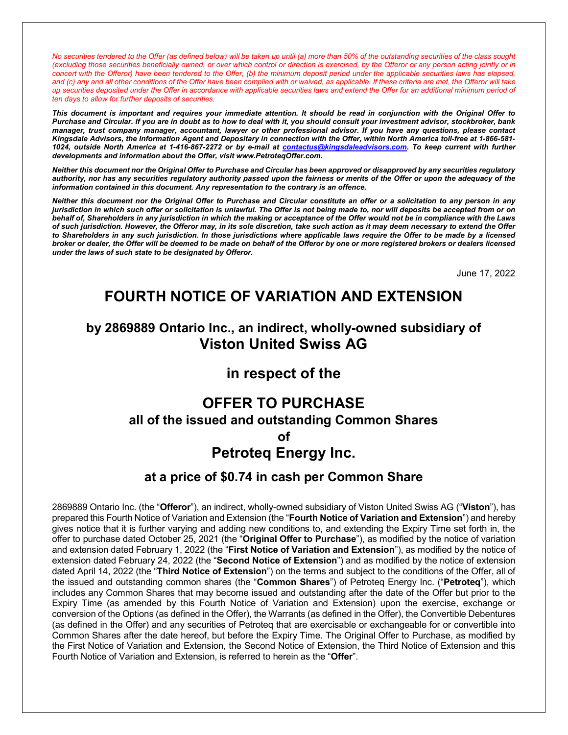No securities tendered to the Offer (as defined below) will be taken up until (a) more than 50% of the outstanding securities of the class sought (excluding those securities beneficially owned, or over which control or direction is exercised, by the Offeror or any person acting jointly or in concert with the Offeror) have been tendered to the Offer, (b) the minimum deposit period under the applicable securities laws has elapsed, and (c) any and all other conditions of the Offer have been complied with or waived, as applicable. If these criteria are met, the Offeror will take up securities deposited under the Offer in accordance with applicable securities laws and extend the Offer for an additional minimum period of ten days to allow for further deposits of securities.

This document is important and requires your immediate attention. It should be read in conjunction with the Original Offer to Purchase and Circular. If you are in doubt as to how to deal with it, you should consult your investment advisor, stockbroker, bank manager, trust company manager, accountant, lawyer or other professional advisor. If you have any questions, please contact Kingsdale Advisors, the Information Agent and Depositary in connection with the Offer, within North America toll-free at 1-866-581- 1024, outside North America at 1-416-867-2272 or by e-mail at contactus@kingsdaleadvisors.com. To keep current with further developments and information about the Offer, visit www.PetroteqOffer.com.

Neither this document nor the Original Offer to Purchase and Circular has been approved or disapproved by any securities regulatory authority, nor has any securities regulatory authority passed upon the fairness or merits of the Offer or upon the adequacy of the information contained in this document. Any representation to the contrary is an offence.

Neither this document nor the Original Offer to Purchase and Circular constitute an offer or a solicitation to any person in any jurisdiction in which such offer or solicitation is unlawful. The Offer is not being made to, nor will deposits be accepted from or on behalf of, Shareholders in any jurisdiction in which the making or acceptance of the Offer would not be in compliance with the Laws of such jurisdiction. However, the Offeror may, in its sole discretion, take such action as it may deem necessary to extend the Offer to Shareholders in any such jurisdiction. In those jurisdictions where applicable laws require the Offer to be made by a licensed broker or dealer, the Offer will be deemed to be made on behalf of the Offeror by one or more registered brokers or dealers licensed under the laws of such state to be designated by Offeror.

June 17, 2022

# FOURTH NOTICE OF VARIATION AND EXTENSION

# by 2869889 Ontario Inc., an indirect, wholly-owned subsidiary of Viston United Swiss AG

# in respect of the

# OFFER TO PURCHASE

# all of the issued and outstanding Common Shares

of

# Petroteq Energy Inc.

# at a price of \$0.74 in cash per Common Share

2869889 Ontario Inc. (the "Offeror"), an indirect, wholly-owned subsidiary of Viston United Swiss AG ("Viston"), has prepared this Fourth Notice of Variation and Extension (the "Fourth Notice of Variation and Extension") and hereby gives notice that it is further varying and adding new conditions to, and extending the Expiry Time set forth in, the offer to purchase dated October 25, 2021 (the "**Original Offer to Purchase**"), as modified by the notice of variation and extension dated February 1, 2022 (the "First Notice of Variation and Extension"), as modified by the notice of extension dated February 24, 2022 (the "Second Notice of Extension") and as modified by the notice of extension dated April 14, 2022 (the "Third Notice of Extension") on the terms and subject to the conditions of the Offer, all of the issued and outstanding common shares (the "Common Shares") of Petroteq Energy Inc. ("Petroteq"), which includes any Common Shares that may become issued and outstanding after the date of the Offer but prior to the Expiry Time (as amended by this Fourth Notice of Variation and Extension) upon the exercise, exchange or conversion of the Options (as defined in the Offer), the Warrants (as defined in the Offer), the Convertible Debentures (as defined in the Offer) and any securities of Petroteq that are exercisable or exchangeable for or convertible into Common Shares after the date hereof, but before the Expiry Time. The Original Offer to Purchase, as modified by the First Notice of Variation and Extension, the Second Notice of Extension, the Third Notice of Extension and this Fourth Notice of Variation and Extension, is referred to herein as the "Offer".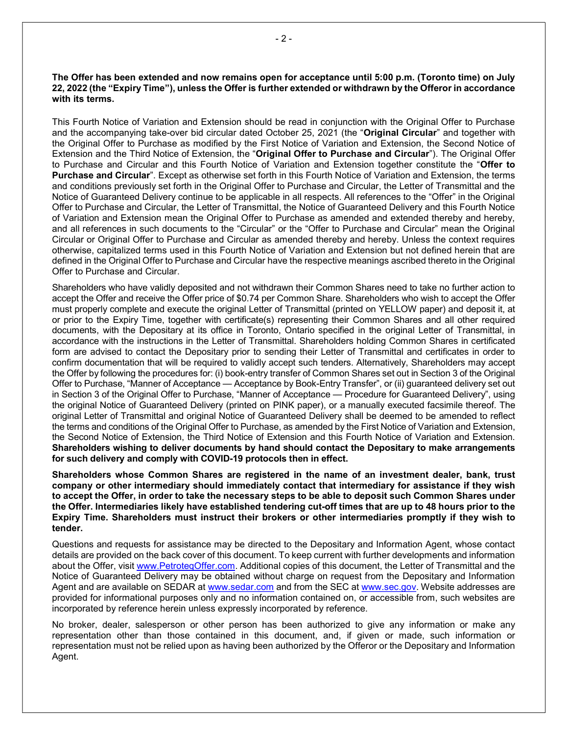The Offer has been extended and now remains open for acceptance until 5:00 p.m. (Toronto time) on July 22, 2022 (the "Expiry Time"), unless the Offer is further extended or withdrawn by the Offeror in accordance with its terms.

This Fourth Notice of Variation and Extension should be read in conjunction with the Original Offer to Purchase and the accompanying take-over bid circular dated October 25, 2021 (the "Original Circular" and together with the Original Offer to Purchase as modified by the First Notice of Variation and Extension, the Second Notice of Extension and the Third Notice of Extension, the "Original Offer to Purchase and Circular"). The Original Offer to Purchase and Circular and this Fourth Notice of Variation and Extension together constitute the "Offer to Purchase and Circular". Except as otherwise set forth in this Fourth Notice of Variation and Extension, the terms and conditions previously set forth in the Original Offer to Purchase and Circular, the Letter of Transmittal and the Notice of Guaranteed Delivery continue to be applicable in all respects. All references to the "Offer" in the Original Offer to Purchase and Circular, the Letter of Transmittal, the Notice of Guaranteed Delivery and this Fourth Notice of Variation and Extension mean the Original Offer to Purchase as amended and extended thereby and hereby, and all references in such documents to the "Circular" or the "Offer to Purchase and Circular" mean the Original Circular or Original Offer to Purchase and Circular as amended thereby and hereby. Unless the context requires otherwise, capitalized terms used in this Fourth Notice of Variation and Extension but not defined herein that are defined in the Original Offer to Purchase and Circular have the respective meanings ascribed thereto in the Original Offer to Purchase and Circular.

Shareholders who have validly deposited and not withdrawn their Common Shares need to take no further action to accept the Offer and receive the Offer price of \$0.74 per Common Share. Shareholders who wish to accept the Offer must properly complete and execute the original Letter of Transmittal (printed on YELLOW paper) and deposit it, at or prior to the Expiry Time, together with certificate(s) representing their Common Shares and all other required documents, with the Depositary at its office in Toronto, Ontario specified in the original Letter of Transmittal, in accordance with the instructions in the Letter of Transmittal. Shareholders holding Common Shares in certificated form are advised to contact the Depositary prior to sending their Letter of Transmittal and certificates in order to confirm documentation that will be required to validly accept such tenders. Alternatively, Shareholders may accept the Offer by following the procedures for: (i) book-entry transfer of Common Shares set out in Section 3 of the Original Offer to Purchase, "Manner of Acceptance — Acceptance by Book-Entry Transfer", or (ii) guaranteed delivery set out in Section 3 of the Original Offer to Purchase, "Manner of Acceptance — Procedure for Guaranteed Delivery", using the original Notice of Guaranteed Delivery (printed on PINK paper), or a manually executed facsimile thereof. The original Letter of Transmittal and original Notice of Guaranteed Delivery shall be deemed to be amended to reflect the terms and conditions of the Original Offer to Purchase, as amended by the First Notice of Variation and Extension, the Second Notice of Extension, the Third Notice of Extension and this Fourth Notice of Variation and Extension. Shareholders wishing to deliver documents by hand should contact the Depositary to make arrangements for such delivery and comply with COVID-19 protocols then in effect.

Shareholders whose Common Shares are registered in the name of an investment dealer, bank, trust company or other intermediary should immediately contact that intermediary for assistance if they wish to accept the Offer, in order to take the necessary steps to be able to deposit such Common Shares under the Offer. Intermediaries likely have established tendering cut-off times that are up to 48 hours prior to the Expiry Time. Shareholders must instruct their brokers or other intermediaries promptly if they wish to tender.

Questions and requests for assistance may be directed to the Depositary and Information Agent, whose contact details are provided on the back cover of this document. To keep current with further developments and information about the Offer, visit www.PetroteqOffer.com. Additional copies of this document, the Letter of Transmittal and the Notice of Guaranteed Delivery may be obtained without charge on request from the Depositary and Information Agent and are available on SEDAR at www.sedar.com and from the SEC at www.sec.gov. Website addresses are provided for informational purposes only and no information contained on, or accessible from, such websites are incorporated by reference herein unless expressly incorporated by reference.

No broker, dealer, salesperson or other person has been authorized to give any information or make any representation other than those contained in this document, and, if given or made, such information or representation must not be relied upon as having been authorized by the Offeror or the Depositary and Information Agent.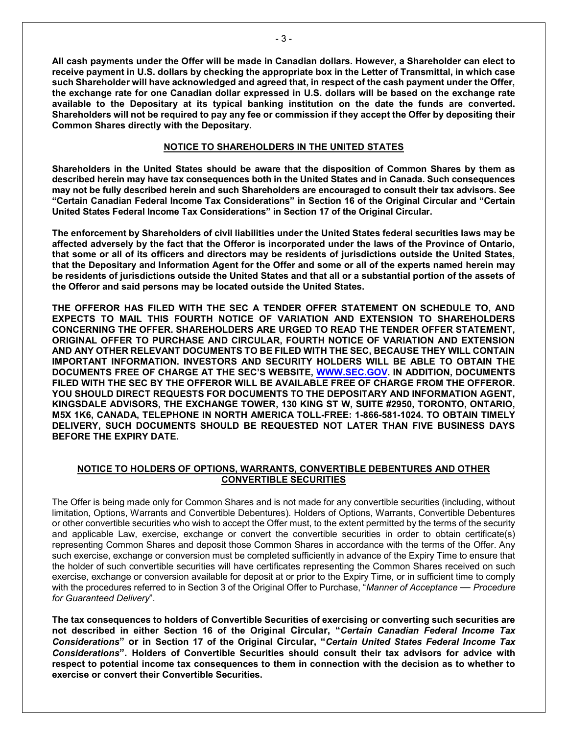All cash payments under the Offer will be made in Canadian dollars. However, a Shareholder can elect to receive payment in U.S. dollars by checking the appropriate box in the Letter of Transmittal, in which case such Shareholder will have acknowledged and agreed that, in respect of the cash payment under the Offer, the exchange rate for one Canadian dollar expressed in U.S. dollars will be based on the exchange rate available to the Depositary at its typical banking institution on the date the funds are converted. Shareholders will not be required to pay any fee or commission if they accept the Offer by depositing their Common Shares directly with the Depositary.

### NOTICE TO SHAREHOLDERS IN THE UNITED STATES

Shareholders in the United States should be aware that the disposition of Common Shares by them as described herein may have tax consequences both in the United States and in Canada. Such consequences may not be fully described herein and such Shareholders are encouraged to consult their tax advisors. See "Certain Canadian Federal Income Tax Considerations" in Section 16 of the Original Circular and "Certain United States Federal Income Tax Considerations" in Section 17 of the Original Circular.

The enforcement by Shareholders of civil liabilities under the United States federal securities laws may be affected adversely by the fact that the Offeror is incorporated under the laws of the Province of Ontario, that some or all of its officers and directors may be residents of jurisdictions outside the United States, that the Depositary and Information Agent for the Offer and some or all of the experts named herein may be residents of jurisdictions outside the United States and that all or a substantial portion of the assets of the Offeror and said persons may be located outside the United States.

THE OFFEROR HAS FILED WITH THE SEC A TENDER OFFER STATEMENT ON SCHEDULE TO, AND EXPECTS TO MAIL THIS FOURTH NOTICE OF VARIATION AND EXTENSION TO SHAREHOLDERS CONCERNING THE OFFER. SHAREHOLDERS ARE URGED TO READ THE TENDER OFFER STATEMENT, ORIGINAL OFFER TO PURCHASE AND CIRCULAR, FOURTH NOTICE OF VARIATION AND EXTENSION AND ANY OTHER RELEVANT DOCUMENTS TO BE FILED WITH THE SEC, BECAUSE THEY WILL CONTAIN IMPORTANT INFORMATION. INVESTORS AND SECURITY HOLDERS WILL BE ABLE TO OBTAIN THE DOCUMENTS FREE OF CHARGE AT THE SEC'S WEBSITE, WWW.SEC.GOV. IN ADDITION, DOCUMENTS FILED WITH THE SEC BY THE OFFEROR WILL BE AVAILABLE FREE OF CHARGE FROM THE OFFEROR. YOU SHOULD DIRECT REQUESTS FOR DOCUMENTS TO THE DEPOSITARY AND INFORMATION AGENT, KINGSDALE ADVISORS, THE EXCHANGE TOWER, 130 KING ST W, SUITE #2950, TORONTO, ONTARIO, M5X 1K6, CANADA, TELEPHONE IN NORTH AMERICA TOLL-FREE: 1-866-581-1024. TO OBTAIN TIMELY DELIVERY, SUCH DOCUMENTS SHOULD BE REQUESTED NOT LATER THAN FIVE BUSINESS DAYS BEFORE THE EXPIRY DATE.

## NOTICE TO HOLDERS OF OPTIONS, WARRANTS, CONVERTIBLE DEBENTURES AND OTHER CONVERTIBLE SECURITIES

The Offer is being made only for Common Shares and is not made for any convertible securities (including, without limitation, Options, Warrants and Convertible Debentures). Holders of Options, Warrants, Convertible Debentures or other convertible securities who wish to accept the Offer must, to the extent permitted by the terms of the security and applicable Law, exercise, exchange or convert the convertible securities in order to obtain certificate(s) representing Common Shares and deposit those Common Shares in accordance with the terms of the Offer. Any such exercise, exchange or conversion must be completed sufficiently in advance of the Expiry Time to ensure that the holder of such convertible securities will have certificates representing the Common Shares received on such exercise, exchange or conversion available for deposit at or prior to the Expiry Time, or in sufficient time to comply with the procedures referred to in Section 3 of the Original Offer to Purchase, "Manner of Acceptance — Procedure for Guaranteed Delivery".

The tax consequences to holders of Convertible Securities of exercising or converting such securities are not described in either Section 16 of the Original Circular, "Certain Canadian Federal Income Tax Considerations" or in Section 17 of the Original Circular, "Certain United States Federal Income Tax Considerations". Holders of Convertible Securities should consult their tax advisors for advice with respect to potential income tax consequences to them in connection with the decision as to whether to exercise or convert their Convertible Securities.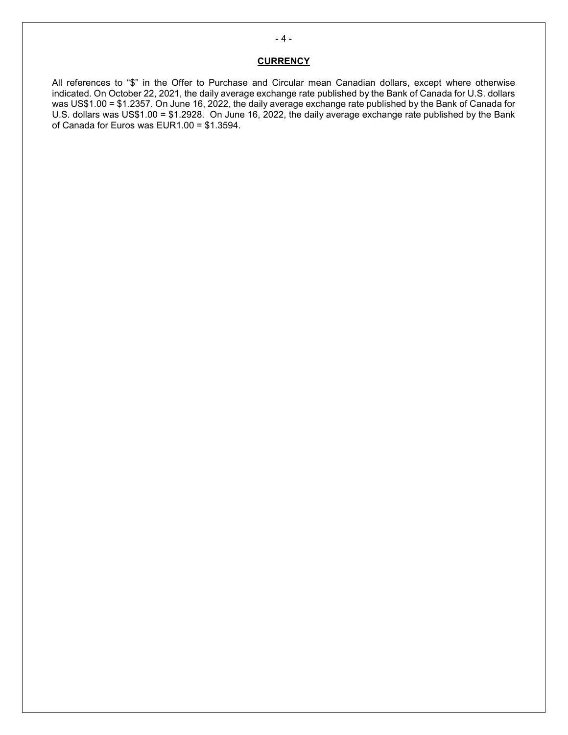# **CURRENCY**

All references to "\$" in the Offer to Purchase and Circular mean Canadian dollars, except where otherwise indicated. On October 22, 2021, the daily average exchange rate published by the Bank of Canada for U.S. dollars was US\$1.00 = \$1.2357. On June 16, 2022, the daily average exchange rate published by the Bank of Canada for U.S. dollars was US\$1.00 = \$1.2928. On June 16, 2022, the daily average exchange rate published by the Bank of Canada for Euros was EUR1.00 = \$1.3594.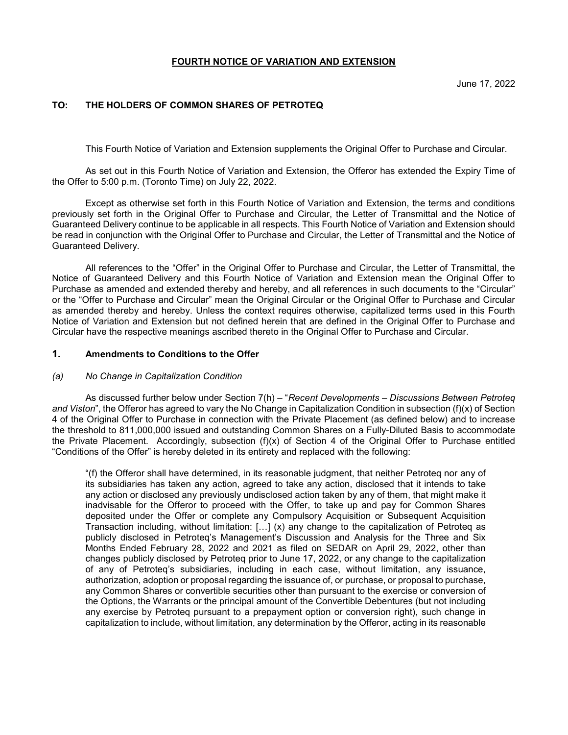### FOURTH NOTICE OF VARIATION AND EXTENSION

# TO: THE HOLDERS OF COMMON SHARES OF PETROTEQ

This Fourth Notice of Variation and Extension supplements the Original Offer to Purchase and Circular.

As set out in this Fourth Notice of Variation and Extension, the Offeror has extended the Expiry Time of the Offer to 5:00 p.m. (Toronto Time) on July 22, 2022.

Except as otherwise set forth in this Fourth Notice of Variation and Extension, the terms and conditions previously set forth in the Original Offer to Purchase and Circular, the Letter of Transmittal and the Notice of Guaranteed Delivery continue to be applicable in all respects. This Fourth Notice of Variation and Extension should be read in conjunction with the Original Offer to Purchase and Circular, the Letter of Transmittal and the Notice of Guaranteed Delivery.

All references to the "Offer" in the Original Offer to Purchase and Circular, the Letter of Transmittal, the Notice of Guaranteed Delivery and this Fourth Notice of Variation and Extension mean the Original Offer to Purchase as amended and extended thereby and hereby, and all references in such documents to the "Circular" or the "Offer to Purchase and Circular" mean the Original Circular or the Original Offer to Purchase and Circular as amended thereby and hereby. Unless the context requires otherwise, capitalized terms used in this Fourth Notice of Variation and Extension but not defined herein that are defined in the Original Offer to Purchase and Circular have the respective meanings ascribed thereto in the Original Offer to Purchase and Circular.

### 1. Amendments to Conditions to the Offer

#### (a) No Change in Capitalization Condition

As discussed further below under Section 7(h) – "Recent Developments – Discussions Between Petroteq and Viston", the Offeror has agreed to vary the No Change in Capitalization Condition in subsection (f)(x) of Section 4 of the Original Offer to Purchase in connection with the Private Placement (as defined below) and to increase the threshold to 811,000,000 issued and outstanding Common Shares on a Fully-Diluted Basis to accommodate the Private Placement. Accordingly, subsection (f)(x) of Section 4 of the Original Offer to Purchase entitled "Conditions of the Offer" is hereby deleted in its entirety and replaced with the following:

"(f) the Offeror shall have determined, in its reasonable judgment, that neither Petroteq nor any of its subsidiaries has taken any action, agreed to take any action, disclosed that it intends to take any action or disclosed any previously undisclosed action taken by any of them, that might make it inadvisable for the Offeror to proceed with the Offer, to take up and pay for Common Shares deposited under the Offer or complete any Compulsory Acquisition or Subsequent Acquisition Transaction including, without limitation: […] (x) any change to the capitalization of Petroteq as publicly disclosed in Petroteq's Management's Discussion and Analysis for the Three and Six Months Ended February 28, 2022 and 2021 as filed on SEDAR on April 29, 2022, other than changes publicly disclosed by Petroteq prior to June 17, 2022, or any change to the capitalization of any of Petroteq's subsidiaries, including in each case, without limitation, any issuance, authorization, adoption or proposal regarding the issuance of, or purchase, or proposal to purchase, any Common Shares or convertible securities other than pursuant to the exercise or conversion of the Options, the Warrants or the principal amount of the Convertible Debentures (but not including any exercise by Petroteq pursuant to a prepayment option or conversion right), such change in capitalization to include, without limitation, any determination by the Offeror, acting in its reasonable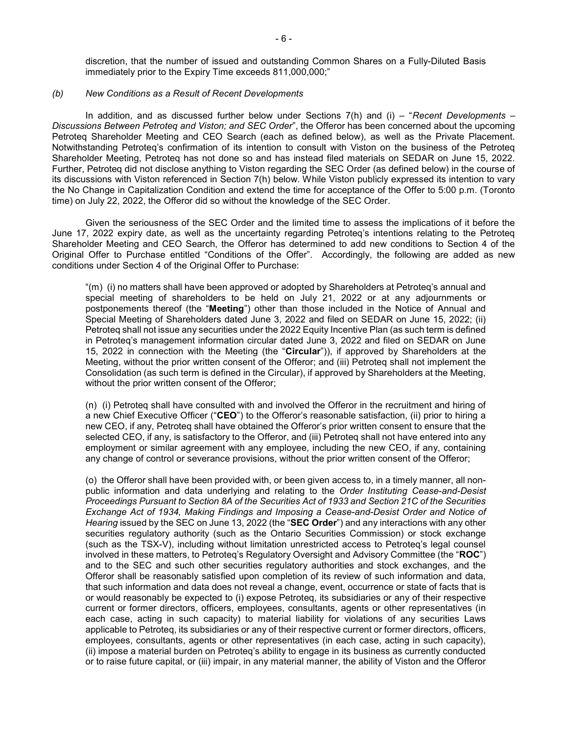discretion, that the number of issued and outstanding Common Shares on a Fully-Diluted Basis immediately prior to the Expiry Time exceeds 811,000,000;"

#### (b) New Conditions as a Result of Recent Developments

In addition, and as discussed further below under Sections  $7(h)$  and (i) – "Recent Developments – Discussions Between Petroteq and Viston; and SEC Order", the Offeror has been concerned about the upcoming Petroteq Shareholder Meeting and CEO Search (each as defined below), as well as the Private Placement. Notwithstanding Petroteq's confirmation of its intention to consult with Viston on the business of the Petroteq Shareholder Meeting, Petroteq has not done so and has instead filed materials on SEDAR on June 15, 2022. Further, Petroteq did not disclose anything to Viston regarding the SEC Order (as defined below) in the course of its discussions with Viston referenced in Section 7(h) below. While Viston publicly expressed its intention to vary the No Change in Capitalization Condition and extend the time for acceptance of the Offer to 5:00 p.m. (Toronto time) on July 22, 2022, the Offeror did so without the knowledge of the SEC Order.

Given the seriousness of the SEC Order and the limited time to assess the implications of it before the June 17, 2022 expiry date, as well as the uncertainty regarding Petroteq's intentions relating to the Petroteq Shareholder Meeting and CEO Search, the Offeror has determined to add new conditions to Section 4 of the Original Offer to Purchase entitled "Conditions of the Offer". Accordingly, the following are added as new conditions under Section 4 of the Original Offer to Purchase:

"(m) (i) no matters shall have been approved or adopted by Shareholders at Petroteq's annual and special meeting of shareholders to be held on July 21, 2022 or at any adjournments or postponements thereof (the "Meeting") other than those included in the Notice of Annual and Special Meeting of Shareholders dated June 3, 2022 and filed on SEDAR on June 15, 2022; (ii) Petroteq shall not issue any securities under the 2022 Equity Incentive Plan (as such term is defined in Petroteq's management information circular dated June 3, 2022 and filed on SEDAR on June 15, 2022 in connection with the Meeting (the "Circular")), if approved by Shareholders at the Meeting, without the prior written consent of the Offeror; and (iii) Petroteq shall not implement the Consolidation (as such term is defined in the Circular), if approved by Shareholders at the Meeting, without the prior written consent of the Offeror;

(n) (i) Petroteq shall have consulted with and involved the Offeror in the recruitment and hiring of a new Chief Executive Officer ("CEO") to the Offeror's reasonable satisfaction, (ii) prior to hiring a new CEO, if any, Petroteq shall have obtained the Offeror's prior written consent to ensure that the selected CEO, if any, is satisfactory to the Offeror, and (iii) Petroteq shall not have entered into any employment or similar agreement with any employee, including the new CEO, if any, containing any change of control or severance provisions, without the prior written consent of the Offeror;

(o) the Offeror shall have been provided with, or been given access to, in a timely manner, all nonpublic information and data underlying and relating to the Order Instituting Cease-and-Desist Proceedings Pursuant to Section 8A of the Securities Act of 1933 and Section 21C of the Securities Exchange Act of 1934, Making Findings and Imposing a Cease-and-Desist Order and Notice of Hearing issued by the SEC on June 13, 2022 (the "SEC Order") and any interactions with any other securities regulatory authority (such as the Ontario Securities Commission) or stock exchange (such as the TSX-V), including without limitation unrestricted access to Petroteq's legal counsel involved in these matters, to Petroteq's Regulatory Oversight and Advisory Committee (the "ROC") and to the SEC and such other securities regulatory authorities and stock exchanges, and the Offeror shall be reasonably satisfied upon completion of its review of such information and data, that such information and data does not reveal a change, event, occurrence or state of facts that is or would reasonably be expected to (i) expose Petroteq, its subsidiaries or any of their respective current or former directors, officers, employees, consultants, agents or other representatives (in each case, acting in such capacity) to material liability for violations of any securities Laws applicable to Petroteq, its subsidiaries or any of their respective current or former directors, officers, employees, consultants, agents or other representatives (in each case, acting in such capacity), (ii) impose a material burden on Petroteq's ability to engage in its business as currently conducted or to raise future capital, or (iii) impair, in any material manner, the ability of Viston and the Offeror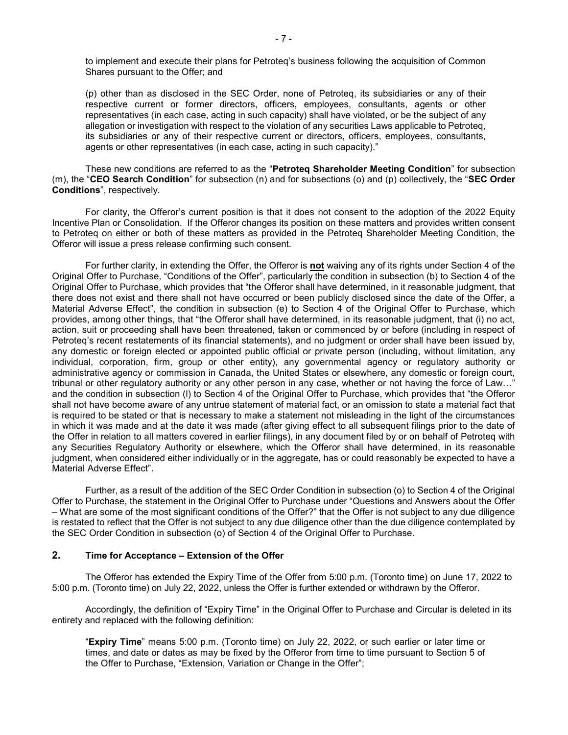to implement and execute their plans for Petroteq's business following the acquisition of Common Shares pursuant to the Offer; and

(p) other than as disclosed in the SEC Order, none of Petroteq, its subsidiaries or any of their respective current or former directors, officers, employees, consultants, agents or other representatives (in each case, acting in such capacity) shall have violated, or be the subject of any allegation or investigation with respect to the violation of any securities Laws applicable to Petroteq, its subsidiaries or any of their respective current or directors, officers, employees, consultants, agents or other representatives (in each case, acting in such capacity)."

These new conditions are referred to as the "Petroteq Shareholder Meeting Condition" for subsection (m), the "CEO Search Condition" for subsection (n) and for subsections (o) and (p) collectively, the "SEC Order Conditions", respectively.

For clarity, the Offeror's current position is that it does not consent to the adoption of the 2022 Equity Incentive Plan or Consolidation. If the Offeror changes its position on these matters and provides written consent to Petroteq on either or both of these matters as provided in the Petroteq Shareholder Meeting Condition, the Offeror will issue a press release confirming such consent.

For further clarity, in extending the Offer, the Offeror is not waiving any of its rights under Section 4 of the Original Offer to Purchase, "Conditions of the Offer", particularly the condition in subsection (b) to Section 4 of the Original Offer to Purchase, which provides that "the Offeror shall have determined, in it reasonable judgment, that there does not exist and there shall not have occurred or been publicly disclosed since the date of the Offer, a Material Adverse Effect", the condition in subsection (e) to Section 4 of the Original Offer to Purchase, which provides, among other things, that "the Offeror shall have determined, in its reasonable judgment, that (i) no act, action, suit or proceeding shall have been threatened, taken or commenced by or before (including in respect of Petroteq's recent restatements of its financial statements), and no judgment or order shall have been issued by, any domestic or foreign elected or appointed public official or private person (including, without limitation, any individual, corporation, firm, group or other entity), any governmental agency or regulatory authority or administrative agency or commission in Canada, the United States or elsewhere, any domestic or foreign court, tribunal or other regulatory authority or any other person in any case, whether or not having the force of Law…" and the condition in subsection (l) to Section 4 of the Original Offer to Purchase, which provides that "the Offeror shall not have become aware of any untrue statement of material fact, or an omission to state a material fact that is required to be stated or that is necessary to make a statement not misleading in the light of the circumstances in which it was made and at the date it was made (after giving effect to all subsequent filings prior to the date of the Offer in relation to all matters covered in earlier filings), in any document filed by or on behalf of Petroteq with any Securities Regulatory Authority or elsewhere, which the Offeror shall have determined, in its reasonable judgment, when considered either individually or in the aggregate, has or could reasonably be expected to have a Material Adverse Effect".

Further, as a result of the addition of the SEC Order Condition in subsection (o) to Section 4 of the Original Offer to Purchase, the statement in the Original Offer to Purchase under "Questions and Answers about the Offer – What are some of the most significant conditions of the Offer?" that the Offer is not subject to any due diligence is restated to reflect that the Offer is not subject to any due diligence other than the due diligence contemplated by the SEC Order Condition in subsection (o) of Section 4 of the Original Offer to Purchase.

### 2. Time for Acceptance – Extension of the Offer

The Offeror has extended the Expiry Time of the Offer from 5:00 p.m. (Toronto time) on June 17, 2022 to 5:00 p.m. (Toronto time) on July 22, 2022, unless the Offer is further extended or withdrawn by the Offeror.

Accordingly, the definition of "Expiry Time" in the Original Offer to Purchase and Circular is deleted in its entirety and replaced with the following definition:

"Expiry Time" means 5:00 p.m. (Toronto time) on July 22, 2022, or such earlier or later time or times, and date or dates as may be fixed by the Offeror from time to time pursuant to Section 5 of the Offer to Purchase, "Extension, Variation or Change in the Offer";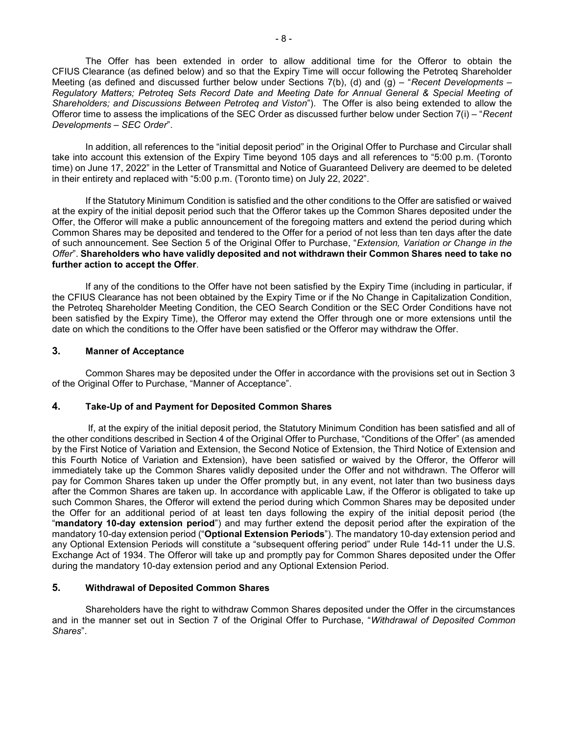The Offer has been extended in order to allow additional time for the Offeror to obtain the CFIUS Clearance (as defined below) and so that the Expiry Time will occur following the Petroteq Shareholder Meeting (as defined and discussed further below under Sections  $7(b)$ , (d) and (g) – "Recent Developments – Regulatory Matters; Petroteq Sets Record Date and Meeting Date for Annual General & Special Meeting of Shareholders; and Discussions Between Petroteq and Viston"). The Offer is also being extended to allow the Offeror time to assess the implications of the SEC Order as discussed further below under Section 7(i) – "Recent Developments – SEC Order".

In addition, all references to the "initial deposit period" in the Original Offer to Purchase and Circular shall take into account this extension of the Expiry Time beyond 105 days and all references to "5:00 p.m. (Toronto time) on June 17, 2022" in the Letter of Transmittal and Notice of Guaranteed Delivery are deemed to be deleted in their entirety and replaced with "5:00 p.m. (Toronto time) on July 22, 2022".

If the Statutory Minimum Condition is satisfied and the other conditions to the Offer are satisfied or waived at the expiry of the initial deposit period such that the Offeror takes up the Common Shares deposited under the Offer, the Offeror will make a public announcement of the foregoing matters and extend the period during which Common Shares may be deposited and tendered to the Offer for a period of not less than ten days after the date of such announcement. See Section 5 of the Original Offer to Purchase, "Extension, Variation or Change in the Offer". Shareholders who have validly deposited and not withdrawn their Common Shares need to take no further action to accept the Offer.

If any of the conditions to the Offer have not been satisfied by the Expiry Time (including in particular, if the CFIUS Clearance has not been obtained by the Expiry Time or if the No Change in Capitalization Condition, the Petroteq Shareholder Meeting Condition, the CEO Search Condition or the SEC Order Conditions have not been satisfied by the Expiry Time), the Offeror may extend the Offer through one or more extensions until the date on which the conditions to the Offer have been satisfied or the Offeror may withdraw the Offer.

#### 3. Manner of Acceptance

Common Shares may be deposited under the Offer in accordance with the provisions set out in Section 3 of the Original Offer to Purchase, "Manner of Acceptance".

#### 4. Take-Up of and Payment for Deposited Common Shares

 If, at the expiry of the initial deposit period, the Statutory Minimum Condition has been satisfied and all of the other conditions described in Section 4 of the Original Offer to Purchase, "Conditions of the Offer" (as amended by the First Notice of Variation and Extension, the Second Notice of Extension, the Third Notice of Extension and this Fourth Notice of Variation and Extension), have been satisfied or waived by the Offeror, the Offeror will immediately take up the Common Shares validly deposited under the Offer and not withdrawn. The Offeror will pay for Common Shares taken up under the Offer promptly but, in any event, not later than two business days after the Common Shares are taken up. In accordance with applicable Law, if the Offeror is obligated to take up such Common Shares, the Offeror will extend the period during which Common Shares may be deposited under the Offer for an additional period of at least ten days following the expiry of the initial deposit period (the "mandatory 10-day extension period") and may further extend the deposit period after the expiration of the mandatory 10-day extension period ("Optional Extension Periods"). The mandatory 10-day extension period and any Optional Extension Periods will constitute a "subsequent offering period" under Rule 14d-11 under the U.S. Exchange Act of 1934. The Offeror will take up and promptly pay for Common Shares deposited under the Offer during the mandatory 10-day extension period and any Optional Extension Period.

# 5. Withdrawal of Deposited Common Shares

Shareholders have the right to withdraw Common Shares deposited under the Offer in the circumstances and in the manner set out in Section 7 of the Original Offer to Purchase, "Withdrawal of Deposited Common Shares".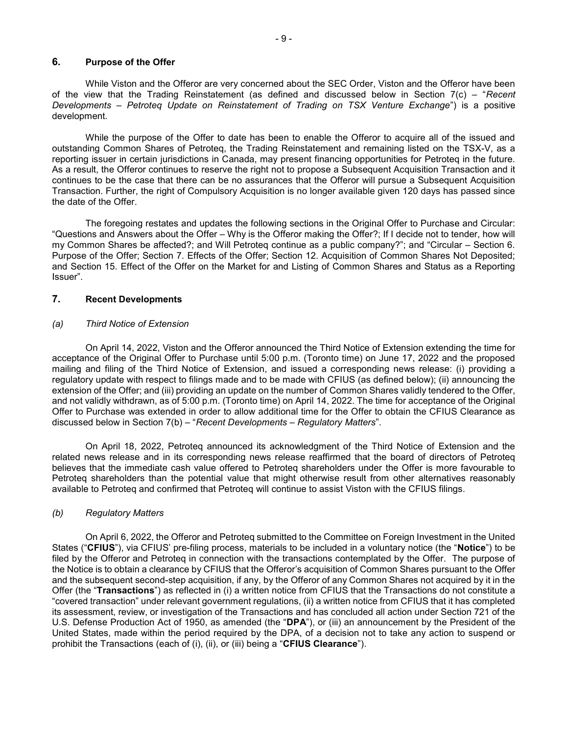### 6. Purpose of the Offer

While Viston and the Offeror are very concerned about the SEC Order, Viston and the Offeror have been of the view that the Trading Reinstatement (as defined and discussed below in Section  $7(c)$  – "Recent Developments – Petroteq Update on Reinstatement of Trading on TSX Venture Exchange") is a positive development.

While the purpose of the Offer to date has been to enable the Offeror to acquire all of the issued and outstanding Common Shares of Petroteq, the Trading Reinstatement and remaining listed on the TSX-V, as a reporting issuer in certain jurisdictions in Canada, may present financing opportunities for Petroteq in the future. As a result, the Offeror continues to reserve the right not to propose a Subsequent Acquisition Transaction and it continues to be the case that there can be no assurances that the Offeror will pursue a Subsequent Acquisition Transaction. Further, the right of Compulsory Acquisition is no longer available given 120 days has passed since the date of the Offer.

The foregoing restates and updates the following sections in the Original Offer to Purchase and Circular: "Questions and Answers about the Offer – Why is the Offeror making the Offer?; If I decide not to tender, how will my Common Shares be affected?; and Will Petroteq continue as a public company?"; and "Circular – Section 6. Purpose of the Offer; Section 7. Effects of the Offer; Section 12. Acquisition of Common Shares Not Deposited; and Section 15. Effect of the Offer on the Market for and Listing of Common Shares and Status as a Reporting Issuer".

#### 7. Recent Developments

#### (a) Third Notice of Extension

 On April 14, 2022, Viston and the Offeror announced the Third Notice of Extension extending the time for acceptance of the Original Offer to Purchase until 5:00 p.m. (Toronto time) on June 17, 2022 and the proposed mailing and filing of the Third Notice of Extension, and issued a corresponding news release: (i) providing a regulatory update with respect to filings made and to be made with CFIUS (as defined below); (ii) announcing the extension of the Offer; and (iii) providing an update on the number of Common Shares validly tendered to the Offer, and not validly withdrawn, as of 5:00 p.m. (Toronto time) on April 14, 2022. The time for acceptance of the Original Offer to Purchase was extended in order to allow additional time for the Offer to obtain the CFIUS Clearance as discussed below in Section 7(b) – "Recent Developments – Regulatory Matters".

 On April 18, 2022, Petroteq announced its acknowledgment of the Third Notice of Extension and the related news release and in its corresponding news release reaffirmed that the board of directors of Petroteq believes that the immediate cash value offered to Petroteq shareholders under the Offer is more favourable to Petroteq shareholders than the potential value that might otherwise result from other alternatives reasonably available to Petroteq and confirmed that Petroteq will continue to assist Viston with the CFIUS filings.

#### (b) Regulatory Matters

On April 6, 2022, the Offeror and Petroteq submitted to the Committee on Foreign Investment in the United States ("CFIUS"), via CFIUS' pre-filing process, materials to be included in a voluntary notice (the "Notice") to be filed by the Offeror and Petroteq in connection with the transactions contemplated by the Offer. The purpose of the Notice is to obtain a clearance by CFIUS that the Offeror's acquisition of Common Shares pursuant to the Offer and the subsequent second-step acquisition, if any, by the Offeror of any Common Shares not acquired by it in the Offer (the "Transactions") as reflected in (i) a written notice from CFIUS that the Transactions do not constitute a "covered transaction" under relevant government regulations, (ii) a written notice from CFIUS that it has completed its assessment, review, or investigation of the Transactions and has concluded all action under Section 721 of the U.S. Defense Production Act of 1950, as amended (the "DPA"), or (iii) an announcement by the President of the United States, made within the period required by the DPA, of a decision not to take any action to suspend or prohibit the Transactions (each of (i), (ii), or (iii) being a "CFIUS Clearance").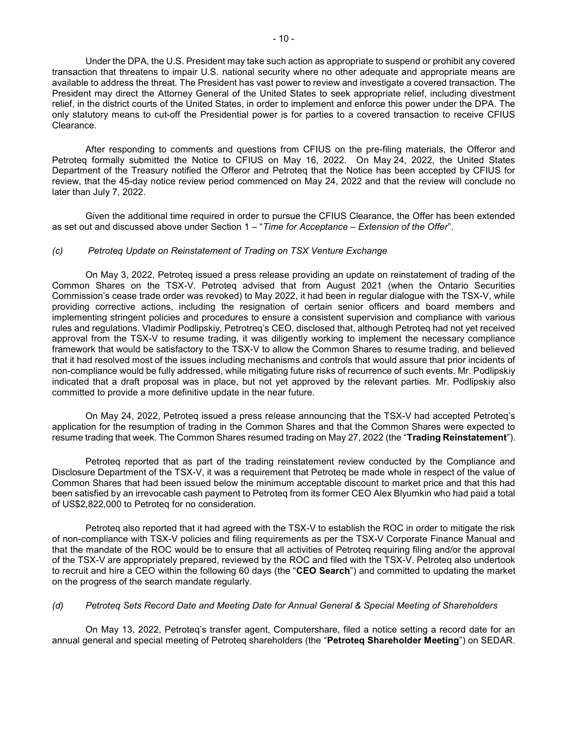Under the DPA, the U.S. President may take such action as appropriate to suspend or prohibit any covered transaction that threatens to impair U.S. national security where no other adequate and appropriate means are available to address the threat. The President has vast power to review and investigate a covered transaction. The President may direct the Attorney General of the United States to seek appropriate relief, including divestment relief, in the district courts of the United States, in order to implement and enforce this power under the DPA. The only statutory means to cut-off the Presidential power is for parties to a covered transaction to receive CFIUS Clearance.

After responding to comments and questions from CFIUS on the pre-filing materials, the Offeror and Petroteq formally submitted the Notice to CFIUS on May 16, 2022. On May 24, 2022, the United States Department of the Treasury notified the Offeror and Petroteq that the Notice has been accepted by CFIUS for review, that the 45-day notice review period commenced on May 24, 2022 and that the review will conclude no later than July 7, 2022.

Given the additional time required in order to pursue the CFIUS Clearance, the Offer has been extended as set out and discussed above under Section 1 – "Time for Acceptance – Extension of the Offer".

#### (c) Petroteq Update on Reinstatement of Trading on TSX Venture Exchange

On May 3, 2022, Petroteq issued a press release providing an update on reinstatement of trading of the Common Shares on the TSX-V. Petroteq advised that from August 2021 (when the Ontario Securities Commission's cease trade order was revoked) to May 2022, it had been in regular dialogue with the TSX-V, while providing corrective actions, including the resignation of certain senior officers and board members and implementing stringent policies and procedures to ensure a consistent supervision and compliance with various rules and regulations. Vladimir Podlipskiy, Petrotreq's CEO, disclosed that, although Petroteq had not yet received approval from the TSX-V to resume trading, it was diligently working to implement the necessary compliance framework that would be satisfactory to the TSX-V to allow the Common Shares to resume trading, and believed that it had resolved most of the issues including mechanisms and controls that would assure that prior incidents of non-compliance would be fully addressed, while mitigating future risks of recurrence of such events. Mr. Podlipskiy indicated that a draft proposal was in place, but not yet approved by the relevant parties. Mr. Podlipskiy also committed to provide a more definitive update in the near future.

On May 24, 2022, Petroteq issued a press release announcing that the TSX-V had accepted Petroteq's application for the resumption of trading in the Common Shares and that the Common Shares were expected to resume trading that week. The Common Shares resumed trading on May 27, 2022 (the "Trading Reinstatement").

Petroteq reported that as part of the trading reinstatement review conducted by the Compliance and Disclosure Department of the TSX-V, it was a requirement that Petroteq be made whole in respect of the value of Common Shares that had been issued below the minimum acceptable discount to market price and that this had been satisfied by an irrevocable cash payment to Petroteq from its former CEO Alex Blyumkin who had paid a total of US\$2,822,000 to Petroteq for no consideration.

Petroteq also reported that it had agreed with the TSX-V to establish the ROC in order to mitigate the risk of non-compliance with TSX-V policies and filing requirements as per the TSX-V Corporate Finance Manual and that the mandate of the ROC would be to ensure that all activities of Petroteq requiring filing and/or the approval of the TSX-V are appropriately prepared, reviewed by the ROC and filed with the TSX-V. Petroteq also undertook to recruit and hire a CEO within the following 60 days (the "CEO Search") and committed to updating the market on the progress of the search mandate regularly.

#### (d) Petroteq Sets Record Date and Meeting Date for Annual General & Special Meeting of Shareholders

On May 13, 2022, Petroteq's transfer agent, Computershare, filed a notice setting a record date for an annual general and special meeting of Petroteq shareholders (the "Petroteq Shareholder Meeting") on SEDAR.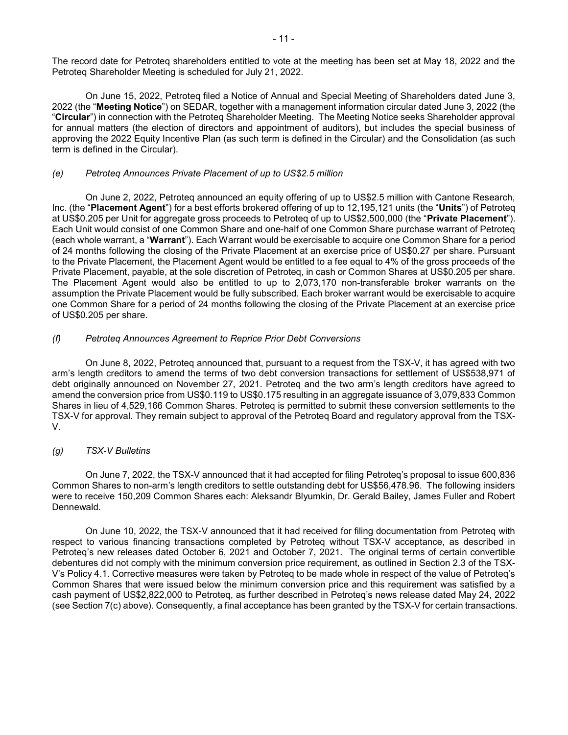The record date for Petroteq shareholders entitled to vote at the meeting has been set at May 18, 2022 and the Petroteq Shareholder Meeting is scheduled for July 21, 2022.

 On June 15, 2022, Petroteq filed a Notice of Annual and Special Meeting of Shareholders dated June 3, 2022 (the "Meeting Notice") on SEDAR, together with a management information circular dated June 3, 2022 (the "Circular") in connection with the Petroteq Shareholder Meeting. The Meeting Notice seeks Shareholder approval for annual matters (the election of directors and appointment of auditors), but includes the special business of approving the 2022 Equity Incentive Plan (as such term is defined in the Circular) and the Consolidation (as such term is defined in the Circular).

#### (e) Petroteq Announces Private Placement of up to US\$2.5 million

On June 2, 2022, Petroteq announced an equity offering of up to US\$2.5 million with Cantone Research, Inc. (the "Placement Agent") for a best efforts brokered offering of up to 12,195,121 units (the "Units") of Petroteg at US\$0.205 per Unit for aggregate gross proceeds to Petroteq of up to US\$2,500,000 (the "Private Placement"). Each Unit would consist of one Common Share and one-half of one Common Share purchase warrant of Petroteq (each whole warrant, a "Warrant"). Each Warrant would be exercisable to acquire one Common Share for a period of 24 months following the closing of the Private Placement at an exercise price of US\$0.27 per share. Pursuant to the Private Placement, the Placement Agent would be entitled to a fee equal to 4% of the gross proceeds of the Private Placement, payable, at the sole discretion of Petroteq, in cash or Common Shares at US\$0.205 per share. The Placement Agent would also be entitled to up to 2,073,170 non-transferable broker warrants on the assumption the Private Placement would be fully subscribed. Each broker warrant would be exercisable to acquire one Common Share for a period of 24 months following the closing of the Private Placement at an exercise price of US\$0.205 per share.

#### (f) Petroteq Announces Agreement to Reprice Prior Debt Conversions

 On June 8, 2022, Petroteq announced that, pursuant to a request from the TSX-V, it has agreed with two arm's length creditors to amend the terms of two debt conversion transactions for settlement of US\$538,971 of debt originally announced on November 27, 2021. Petroteq and the two arm's length creditors have agreed to amend the conversion price from US\$0.119 to US\$0.175 resulting in an aggregate issuance of 3,079,833 Common Shares in lieu of 4,529,166 Common Shares. Petroteq is permitted to submit these conversion settlements to the TSX-V for approval. They remain subject to approval of the Petroteq Board and regulatory approval from the TSX-V.

#### (g) TSX-V Bulletins

 On June 7, 2022, the TSX-V announced that it had accepted for filing Petroteq's proposal to issue 600,836 Common Shares to non-arm's length creditors to settle outstanding debt for US\$56,478.96. The following insiders were to receive 150,209 Common Shares each: Aleksandr Blyumkin, Dr. Gerald Bailey, James Fuller and Robert Dennewald.

On June 10, 2022, the TSX-V announced that it had received for filing documentation from Petroteq with respect to various financing transactions completed by Petroteq without TSX-V acceptance, as described in Petroteq's new releases dated October 6, 2021 and October 7, 2021. The original terms of certain convertible debentures did not comply with the minimum conversion price requirement, as outlined in Section 2.3 of the TSX-V's Policy 4.1. Corrective measures were taken by Petroteq to be made whole in respect of the value of Petroteq's Common Shares that were issued below the minimum conversion price and this requirement was satisfied by a cash payment of US\$2,822,000 to Petroteq, as further described in Petroteq's news release dated May 24, 2022 (see Section 7(c) above). Consequently, a final acceptance has been granted by the TSX-V for certain transactions.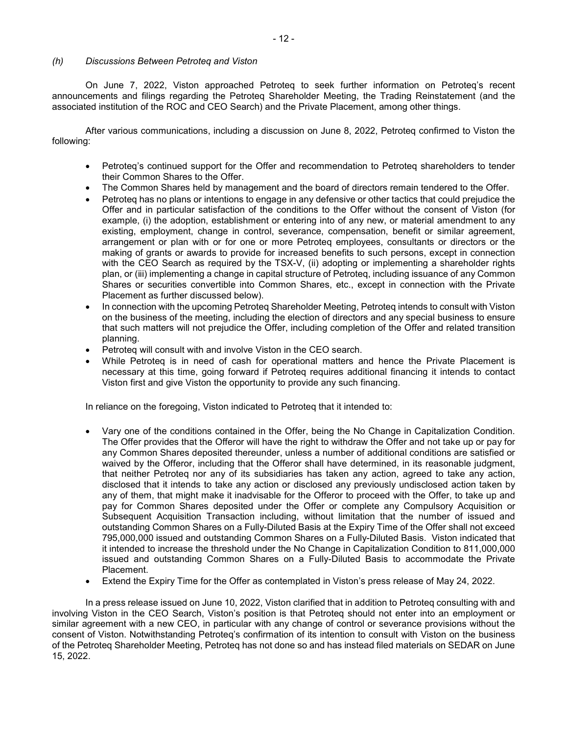#### (h) Discussions Between Petroteq and Viston

 On June 7, 2022, Viston approached Petroteq to seek further information on Petroteq's recent announcements and filings regarding the Petroteq Shareholder Meeting, the Trading Reinstatement (and the associated institution of the ROC and CEO Search) and the Private Placement, among other things.

After various communications, including a discussion on June 8, 2022, Petroteq confirmed to Viston the following:

- Petroteq's continued support for the Offer and recommendation to Petroteq shareholders to tender their Common Shares to the Offer.
- The Common Shares held by management and the board of directors remain tendered to the Offer.
- Petroteq has no plans or intentions to engage in any defensive or other tactics that could prejudice the Offer and in particular satisfaction of the conditions to the Offer without the consent of Viston (for example, (i) the adoption, establishment or entering into of any new, or material amendment to any existing, employment, change in control, severance, compensation, benefit or similar agreement, arrangement or plan with or for one or more Petroteq employees, consultants or directors or the making of grants or awards to provide for increased benefits to such persons, except in connection with the CEO Search as required by the TSX-V, (ii) adopting or implementing a shareholder rights plan, or (iii) implementing a change in capital structure of Petroteq, including issuance of any Common Shares or securities convertible into Common Shares, etc., except in connection with the Private Placement as further discussed below).
- In connection with the upcoming Petroteq Shareholder Meeting, Petroteq intends to consult with Viston on the business of the meeting, including the election of directors and any special business to ensure that such matters will not prejudice the Offer, including completion of the Offer and related transition planning.
- Petroteq will consult with and involve Viston in the CEO search.
- While Petroteq is in need of cash for operational matters and hence the Private Placement is necessary at this time, going forward if Petroteq requires additional financing it intends to contact Viston first and give Viston the opportunity to provide any such financing.

In reliance on the foregoing, Viston indicated to Petroteq that it intended to:

- Vary one of the conditions contained in the Offer, being the No Change in Capitalization Condition. The Offer provides that the Offeror will have the right to withdraw the Offer and not take up or pay for any Common Shares deposited thereunder, unless a number of additional conditions are satisfied or waived by the Offeror, including that the Offeror shall have determined, in its reasonable judgment, that neither Petroteq nor any of its subsidiaries has taken any action, agreed to take any action, disclosed that it intends to take any action or disclosed any previously undisclosed action taken by any of them, that might make it inadvisable for the Offeror to proceed with the Offer, to take up and pay for Common Shares deposited under the Offer or complete any Compulsory Acquisition or Subsequent Acquisition Transaction including, without limitation that the number of issued and outstanding Common Shares on a Fully-Diluted Basis at the Expiry Time of the Offer shall not exceed 795,000,000 issued and outstanding Common Shares on a Fully-Diluted Basis. Viston indicated that it intended to increase the threshold under the No Change in Capitalization Condition to 811,000,000 issued and outstanding Common Shares on a Fully-Diluted Basis to accommodate the Private Placement.
- Extend the Expiry Time for the Offer as contemplated in Viston's press release of May 24, 2022.

In a press release issued on June 10, 2022, Viston clarified that in addition to Petroteq consulting with and involving Viston in the CEO Search, Viston's position is that Petroteq should not enter into an employment or similar agreement with a new CEO, in particular with any change of control or severance provisions without the consent of Viston. Notwithstanding Petroteq's confirmation of its intention to consult with Viston on the business of the Petroteq Shareholder Meeting, Petroteq has not done so and has instead filed materials on SEDAR on June 15, 2022.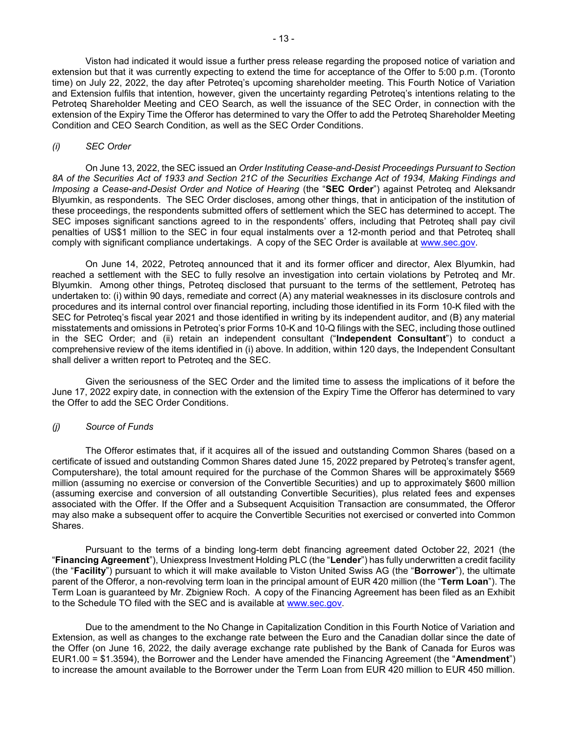Viston had indicated it would issue a further press release regarding the proposed notice of variation and extension but that it was currently expecting to extend the time for acceptance of the Offer to 5:00 p.m. (Toronto time) on July 22, 2022, the day after Petroteq's upcoming shareholder meeting. This Fourth Notice of Variation and Extension fulfils that intention, however, given the uncertainty regarding Petroteq's intentions relating to the Petroteq Shareholder Meeting and CEO Search, as well the issuance of the SEC Order, in connection with the extension of the Expiry Time the Offeror has determined to vary the Offer to add the Petroteq Shareholder Meeting Condition and CEO Search Condition, as well as the SEC Order Conditions.

#### (i) SEC Order

On June 13, 2022, the SEC issued an Order Instituting Cease-and-Desist Proceedings Pursuant to Section 8A of the Securities Act of 1933 and Section 21C of the Securities Exchange Act of 1934, Making Findings and Imposing a Cease-and-Desist Order and Notice of Hearing (the "SEC Order") against Petroteq and Aleksandr Blyumkin, as respondents. The SEC Order discloses, among other things, that in anticipation of the institution of these proceedings, the respondents submitted offers of settlement which the SEC has determined to accept. The SEC imposes significant sanctions agreed to in the respondents' offers, including that Petroteq shall pay civil penalties of US\$1 million to the SEC in four equal instalments over a 12-month period and that Petroteq shall comply with significant compliance undertakings. A copy of the SEC Order is available at www.sec.gov.

On June 14, 2022, Petroteq announced that it and its former officer and director, Alex Blyumkin, had reached a settlement with the SEC to fully resolve an investigation into certain violations by Petroteq and Mr. Blyumkin. Among other things, Petroteq disclosed that pursuant to the terms of the settlement, Petroteq has undertaken to: (i) within 90 days, remediate and correct (A) any material weaknesses in its disclosure controls and procedures and its internal control over financial reporting, including those identified in its Form 10-K filed with the SEC for Petroteq's fiscal year 2021 and those identified in writing by its independent auditor, and (B) any material misstatements and omissions in Petroteq's prior Forms 10-K and 10-Q filings with the SEC, including those outlined in the SEC Order; and (ii) retain an independent consultant ("Independent Consultant") to conduct a comprehensive review of the items identified in (i) above. In addition, within 120 days, the Independent Consultant shall deliver a written report to Petroteq and the SEC.

Given the seriousness of the SEC Order and the limited time to assess the implications of it before the June 17, 2022 expiry date, in connection with the extension of the Expiry Time the Offeror has determined to vary the Offer to add the SEC Order Conditions.

#### (j) Source of Funds

The Offeror estimates that, if it acquires all of the issued and outstanding Common Shares (based on a certificate of issued and outstanding Common Shares dated June 15, 2022 prepared by Petroteq's transfer agent, Computershare), the total amount required for the purchase of the Common Shares will be approximately \$569 million (assuming no exercise or conversion of the Convertible Securities) and up to approximately \$600 million (assuming exercise and conversion of all outstanding Convertible Securities), plus related fees and expenses associated with the Offer. If the Offer and a Subsequent Acquisition Transaction are consummated, the Offeror may also make a subsequent offer to acquire the Convertible Securities not exercised or converted into Common Shares.

Pursuant to the terms of a binding long-term debt financing agreement dated October 22, 2021 (the "Financing Agreement"), Uniexpress Investment Holding PLC (the "Lender") has fully underwritten a credit facility (the "Facility") pursuant to which it will make available to Viston United Swiss AG (the "Borrower"), the ultimate parent of the Offeror, a non-revolving term loan in the principal amount of EUR 420 million (the "Term Loan"). The Term Loan is guaranteed by Mr. Zbigniew Roch. A copy of the Financing Agreement has been filed as an Exhibit to the Schedule TO filed with the SEC and is available at www.sec.gov.

Due to the amendment to the No Change in Capitalization Condition in this Fourth Notice of Variation and Extension, as well as changes to the exchange rate between the Euro and the Canadian dollar since the date of the Offer (on June 16, 2022, the daily average exchange rate published by the Bank of Canada for Euros was EUR1.00 = \$1.3594), the Borrower and the Lender have amended the Financing Agreement (the "Amendment") to increase the amount available to the Borrower under the Term Loan from EUR 420 million to EUR 450 million.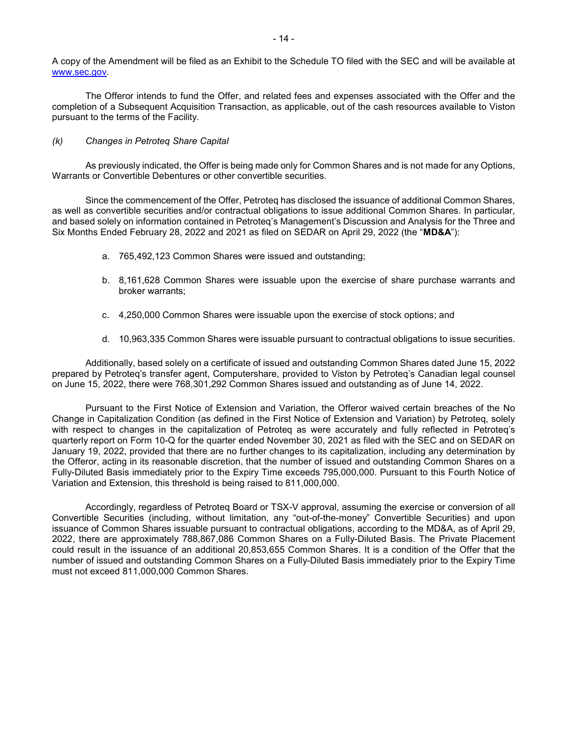A copy of the Amendment will be filed as an Exhibit to the Schedule TO filed with the SEC and will be available at www.sec.gov.

The Offeror intends to fund the Offer, and related fees and expenses associated with the Offer and the completion of a Subsequent Acquisition Transaction, as applicable, out of the cash resources available to Viston pursuant to the terms of the Facility.

#### (k) Changes in Petroteq Share Capital

As previously indicated, the Offer is being made only for Common Shares and is not made for any Options, Warrants or Convertible Debentures or other convertible securities.

Since the commencement of the Offer, Petroteq has disclosed the issuance of additional Common Shares, as well as convertible securities and/or contractual obligations to issue additional Common Shares. In particular, and based solely on information contained in Petroteq's Management's Discussion and Analysis for the Three and Six Months Ended February 28, 2022 and 2021 as filed on SEDAR on April 29, 2022 (the "MD&A"):

- a. 765,492,123 Common Shares were issued and outstanding;
- b. 8,161,628 Common Shares were issuable upon the exercise of share purchase warrants and broker warrants;
- c. 4,250,000 Common Shares were issuable upon the exercise of stock options; and
- d. 10,963,335 Common Shares were issuable pursuant to contractual obligations to issue securities.

Additionally, based solely on a certificate of issued and outstanding Common Shares dated June 15, 2022 prepared by Petroteq's transfer agent, Computershare, provided to Viston by Petroteq's Canadian legal counsel on June 15, 2022, there were 768,301,292 Common Shares issued and outstanding as of June 14, 2022.

Pursuant to the First Notice of Extension and Variation, the Offeror waived certain breaches of the No Change in Capitalization Condition (as defined in the First Notice of Extension and Variation) by Petroteq, solely with respect to changes in the capitalization of Petroteq as were accurately and fully reflected in Petroteq's quarterly report on Form 10-Q for the quarter ended November 30, 2021 as filed with the SEC and on SEDAR on January 19, 2022, provided that there are no further changes to its capitalization, including any determination by the Offeror, acting in its reasonable discretion, that the number of issued and outstanding Common Shares on a Fully-Diluted Basis immediately prior to the Expiry Time exceeds 795,000,000. Pursuant to this Fourth Notice of Variation and Extension, this threshold is being raised to 811,000,000.

Accordingly, regardless of Petroteq Board or TSX-V approval, assuming the exercise or conversion of all Convertible Securities (including, without limitation, any "out-of-the-money" Convertible Securities) and upon issuance of Common Shares issuable pursuant to contractual obligations, according to the MD&A, as of April 29, 2022, there are approximately 788,867,086 Common Shares on a Fully-Diluted Basis. The Private Placement could result in the issuance of an additional 20,853,655 Common Shares. It is a condition of the Offer that the number of issued and outstanding Common Shares on a Fully-Diluted Basis immediately prior to the Expiry Time must not exceed 811,000,000 Common Shares.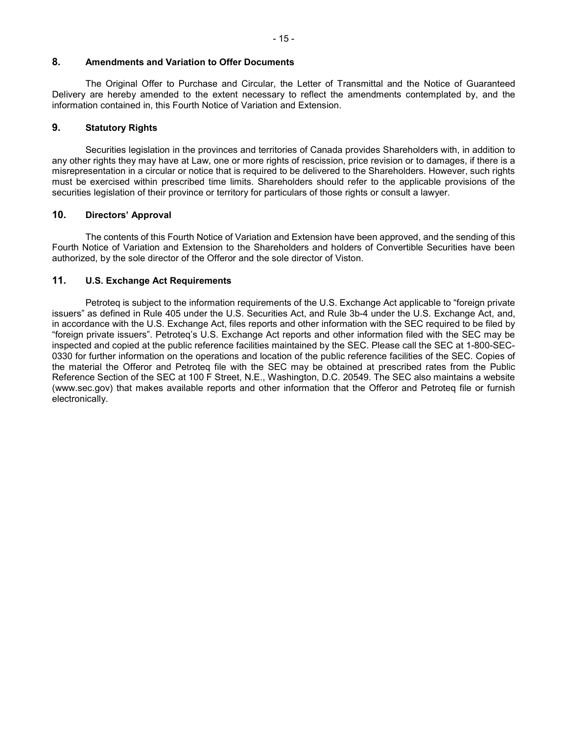#### 8. Amendments and Variation to Offer Documents

The Original Offer to Purchase and Circular, the Letter of Transmittal and the Notice of Guaranteed Delivery are hereby amended to the extent necessary to reflect the amendments contemplated by, and the information contained in, this Fourth Notice of Variation and Extension.

## 9. Statutory Rights

Securities legislation in the provinces and territories of Canada provides Shareholders with, in addition to any other rights they may have at Law, one or more rights of rescission, price revision or to damages, if there is a misrepresentation in a circular or notice that is required to be delivered to the Shareholders. However, such rights must be exercised within prescribed time limits. Shareholders should refer to the applicable provisions of the securities legislation of their province or territory for particulars of those rights or consult a lawyer.

## 10. Directors' Approval

The contents of this Fourth Notice of Variation and Extension have been approved, and the sending of this Fourth Notice of Variation and Extension to the Shareholders and holders of Convertible Securities have been authorized, by the sole director of the Offeror and the sole director of Viston.

# 11. U.S. Exchange Act Requirements

Petroteq is subject to the information requirements of the U.S. Exchange Act applicable to "foreign private issuers" as defined in Rule 405 under the U.S. Securities Act, and Rule 3b-4 under the U.S. Exchange Act, and, in accordance with the U.S. Exchange Act, files reports and other information with the SEC required to be filed by "foreign private issuers". Petroteq's U.S. Exchange Act reports and other information filed with the SEC may be inspected and copied at the public reference facilities maintained by the SEC. Please call the SEC at 1-800-SEC-0330 for further information on the operations and location of the public reference facilities of the SEC. Copies of the material the Offeror and Petroteq file with the SEC may be obtained at prescribed rates from the Public Reference Section of the SEC at 100 F Street, N.E., Washington, D.C. 20549. The SEC also maintains a website (www.sec.gov) that makes available reports and other information that the Offeror and Petroteq file or furnish electronically.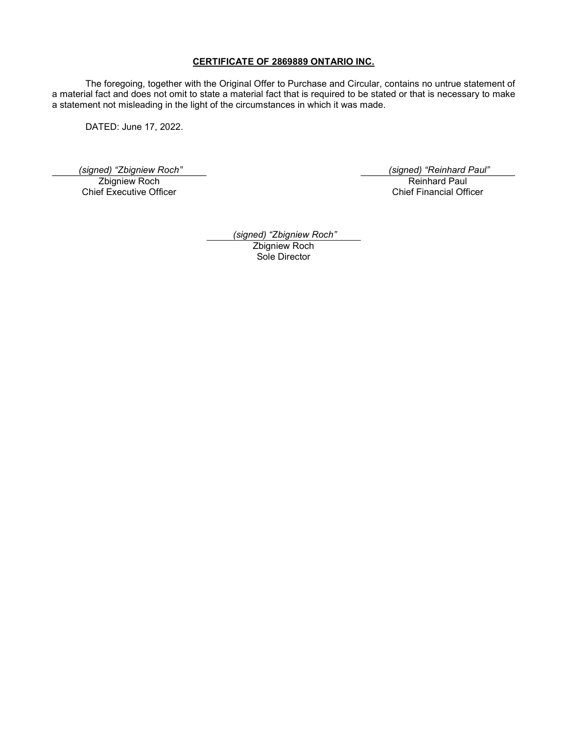## CERTIFICATE OF 2869889 ONTARIO INC.

The foregoing, together with the Original Offer to Purchase and Circular, contains no untrue statement of a material fact and does not omit to state a material fact that is required to be stated or that is necessary to make a statement not misleading in the light of the circumstances in which it was made.

DATED: June 17, 2022.

Zbigniew Roch

Chief Executive Officer

 (signed) "Zbigniew Roch" (signed) "Reinhard Paul" Reinhard Paul Chief Financial Officer

> (signed) "Zbigniew Roch" Zbigniew Roch Sole Director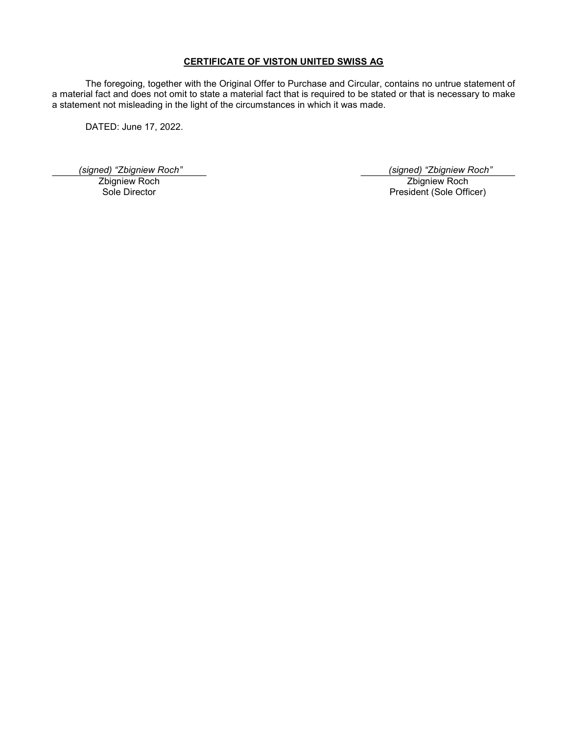# CERTIFICATE OF VISTON UNITED SWISS AG

The foregoing, together with the Original Offer to Purchase and Circular, contains no untrue statement of a material fact and does not omit to state a material fact that is required to be stated or that is necessary to make a statement not misleading in the light of the circumstances in which it was made.

DATED: June 17, 2022.

Zbigniew Roch Sole Director

 (signed) "Zbigniew Roch" (signed) "Zbigniew Roch" Zbigniew Roch President (Sole Officer)